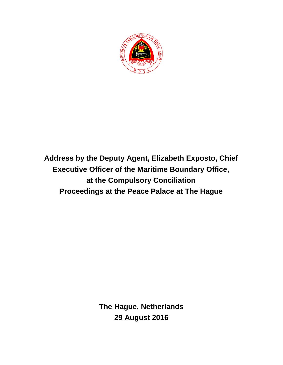

**Address by the Deputy Agent, Elizabeth Exposto, Chief Executive Officer of the Maritime Boundary Office, at the Compulsory Conciliation Proceedings at the Peace Palace at The Hague**

> **The Hague, Netherlands 29 August 2016**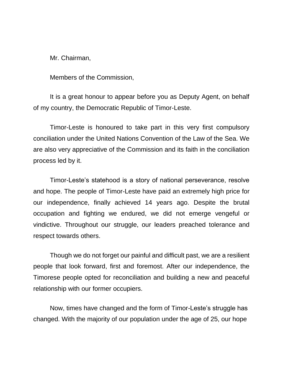Mr. Chairman,

Members of the Commission,

It is a great honour to appear before you as Deputy Agent, on behalf of my country, the Democratic Republic of Timor-Leste.

Timor-Leste is honoured to take part in this very first compulsory conciliation under the United Nations Convention of the Law of the Sea. We are also very appreciative of the Commission and its faith in the conciliation process led by it.

Timor-Leste's statehood is a story of national perseverance, resolve and hope. The people of Timor-Leste have paid an extremely high price for our independence, finally achieved 14 years ago. Despite the brutal occupation and fighting we endured, we did not emerge vengeful or vindictive. Throughout our struggle, our leaders preached tolerance and respect towards others.

Though we do not forget our painful and difficult past, we are a resilient people that look forward, first and foremost. After our independence, the Timorese people opted for reconciliation and building a new and peaceful relationship with our former occupiers.

Now, times have changed and the form of Timor-Leste's struggle has changed. With the majority of our population under the age of 25, our hope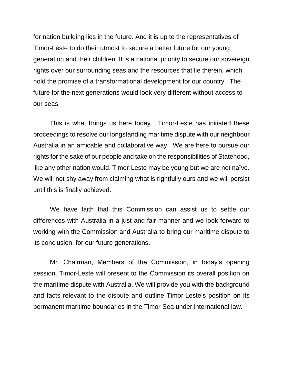for nation building lies in the future. And it is up to the representatives of Timor-Leste to do their utmost to secure a better future for our young generation and their children. It is a national priority to secure our sovereign rights over our surrounding seas and the resources that lie therein, which hold the promise of a transformational development for our country. The future for the next generations would look very different without access to our seas.

This is what brings us here today. Timor-Leste has initiated these proceedings to resolve our longstanding maritime dispute with our neighbour Australia in an amicable and collaborative way. We are here to pursue our rights for the sake of our people and take on the responsibilities of Statehood, like any other nation would. Timor-Leste may be young but we are not naïve. We will not shy away from claiming what is rightfully ours and we will persist until this is finally achieved.

We have faith that this Commission can assist us to settle our differences with Australia in a just and fair manner and we look forward to working with the Commission and Australia to bring our maritime dispute to its conclusion, for our future generations.

Mr. Chairman, Members of the Commission, in today's opening session, Timor-Leste will present to the Commission its overall position on the maritime dispute with Australia. We will provide you with the background and facts relevant to the dispute and outline Timor-Leste's position on its permanent maritime boundaries in the Timor Sea under international law.